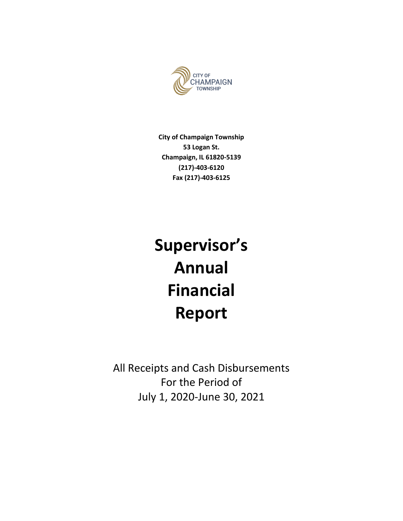

**City of Champaign Township 53 Logan St. Champaign, IL 61820-5139 (217)-403-6120 Fax (217)-403-6125**

# **Supervisor's Annual Financial Report**

All Receipts and Cash Disbursements For the Period of July 1, 2020-June 30, 2021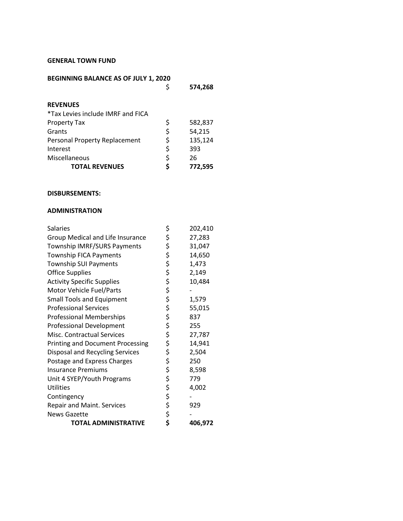### **GENERAL TOWN FUND**

| BEGINNING BALANCE AS OF JULY 1, 2020 |         |  |  |
|--------------------------------------|---------|--|--|
| Ş                                    | 574,268 |  |  |
|                                      |         |  |  |
|                                      |         |  |  |
|                                      |         |  |  |
| \$                                   | 582,837 |  |  |
| \$                                   | 54,215  |  |  |
| \$                                   | 135,124 |  |  |
| \$                                   | 393     |  |  |
| \$                                   | 26      |  |  |
|                                      | 772,595 |  |  |
|                                      |         |  |  |

#### **DISBURSEMENTS:**

## **ADMINISTRATION**

| <b>Salaries</b>                         | \$       | 202,410 |
|-----------------------------------------|----------|---------|
| Group Medical and Life Insurance        | \$       | 27,283  |
| Township IMRF/SURS Payments             | \$       | 31,047  |
| <b>Township FICA Payments</b>           |          | 14,650  |
| <b>Township SUI Payments</b>            |          | 1,473   |
| <b>Office Supplies</b>                  |          | 2,149   |
| <b>Activity Specific Supplies</b>       |          | 10,484  |
| <b>Motor Vehicle Fuel/Parts</b>         | ぐぐぐら     |         |
| <b>Small Tools and Equipment</b>        |          | 1,579   |
| <b>Professional Services</b>            |          | 55,015  |
| <b>Professional Memberships</b>         | \$\$\$   | 837     |
| <b>Professional Development</b>         |          | 255     |
| Misc. Contractual Services              |          | 27,787  |
| <b>Printing and Document Processing</b> | \$<br>\$ | 14,941  |
| <b>Disposal and Recycling Services</b>  |          | 2,504   |
| Postage and Express Charges             | \$       | 250     |
| <b>Insurance Premiums</b>               | ややみ やや   | 8,598   |
| Unit 4 SYEP/Youth Programs              |          | 779     |
| <b>Utilities</b>                        |          | 4,002   |
| Contingency                             |          |         |
| <b>Repair and Maint. Services</b>       |          | 929     |
| <b>News Gazette</b>                     |          |         |
| <b>TOTAL ADMINISTRATIVE</b>             | \$       | 406,972 |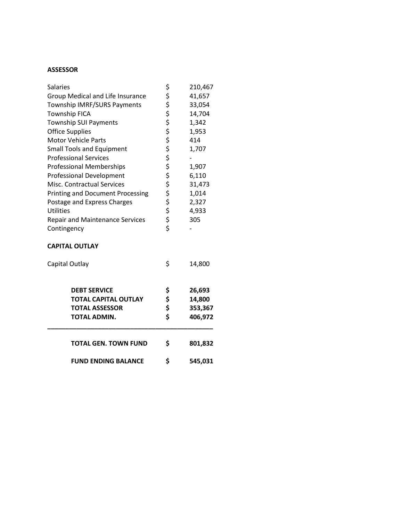# **ASSESSOR**

| <b>Salaries</b>                         | \$<br>210,467 |
|-----------------------------------------|---------------|
| Group Medical and Life Insurance        | \$<br>41,657  |
| Township IMRF/SURS Payments             | \$<br>33,054  |
| <b>Township FICA</b>                    | \$<br>14,704  |
| <b>Township SUI Payments</b>            | \$<br>1,342   |
| <b>Office Supplies</b>                  | \$<br>1,953   |
| <b>Motor Vehicle Parts</b>              | \$<br>414     |
| <b>Small Tools and Equipment</b>        | \$<br>1,707   |
| <b>Professional Services</b>            | \$            |
| <b>Professional Memberships</b>         | \$<br>1,907   |
| <b>Professional Development</b>         | \$<br>6,110   |
| <b>Misc. Contractual Services</b>       | \$<br>31,473  |
| <b>Printing and Document Processing</b> | \$<br>1,014   |
| Postage and Express Charges             | \$<br>2,327   |
| <b>Utilities</b>                        | \$<br>4,933   |
| <b>Repair and Maintenance Services</b>  | \$<br>305     |
| Contingency                             | \$            |
|                                         |               |

## **CAPITAL OUTLAY**

| Capital Outlay                                                                              | \$                   | 14,800                                 |
|---------------------------------------------------------------------------------------------|----------------------|----------------------------------------|
| <b>DEBT SERVICE</b><br><b>TOTAL CAPITAL OUTLAY</b><br><b>TOTAL ASSESSOR</b><br>TOTAL ADMIN. | \$<br>\$<br>\$<br>\$ | 26,693<br>14,800<br>353,367<br>406,972 |
| <b>TOTAL GEN. TOWN FUND</b>                                                                 | \$                   | 801,832                                |
| <b>FUND ENDING BALANCE</b>                                                                  | S                    | 545,031                                |